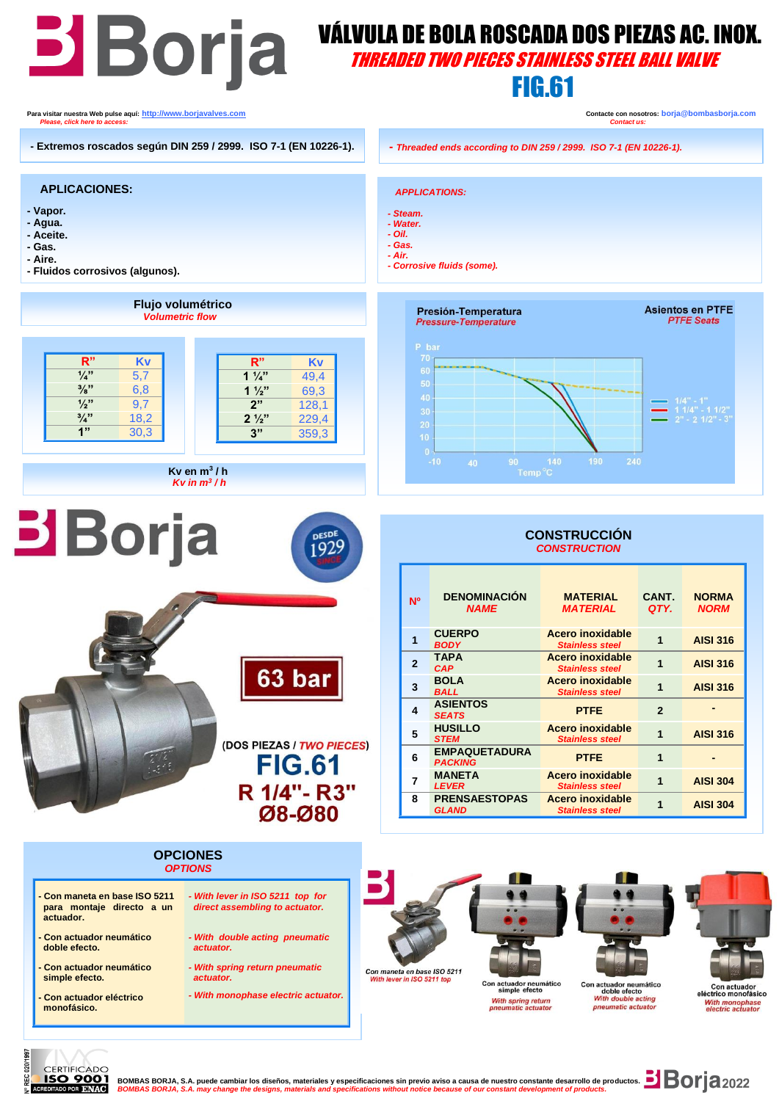

020/1 **CERTIFICADO** 

**BO 9001** BOMBAS BORJA, S.A. puede cambiar los diseños, materiales y especificaciones sin previo aviso a causa de nuestro constante desarrollo de productos. **DIBOM** 2022<br>REDITADO DE DIVISOR BORDA, S.A. may change the desig BOMBAS BORJA, S.A. may change the designs, materials and specifications without notice because of our constant developr